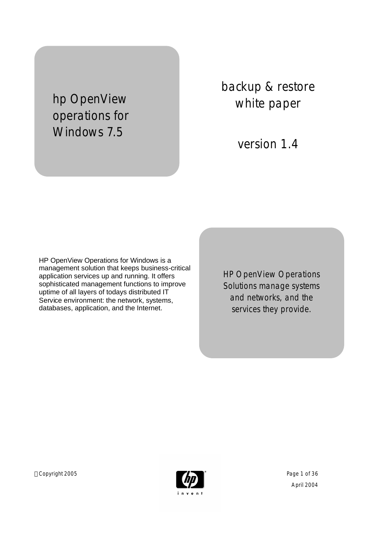hp OpenView operations for Windows 7.5

backup & restore white paper

version 1.4

HP OpenView Operations for Windows is a management solution that keeps business-critical application services up and running. It offers sophisticated management functions to improve uptime of all layers of todays distributed IT Service environment: the network, systems, databases, application, and the Internet.

HP OpenView Operations Solutions manage systems and networks, and the services they provide.

Copyright 2005 **Page 1 of 36** Page 1 of 36

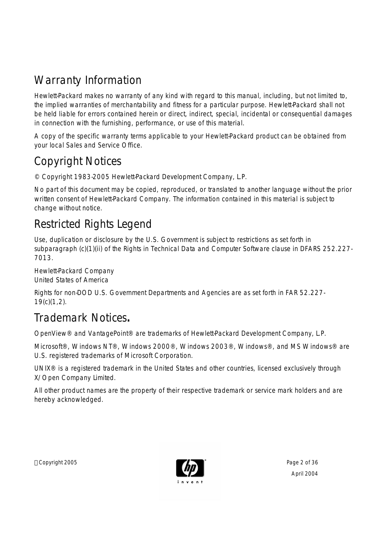# Warranty Information

*Hewlett-Packard makes no warranty of any kind with regard to this manual, including, but not limited to, the implied warranties of merchantability and fitness for a particular purpose. Hewlett-Packard shall not be held liable for errors contained herein or direct, indirect, special, incidental or consequential damages in connection with the furnishing, performance, or use of this material.*

A copy of the specific warranty terms applicable to your Hewlett-Packard product can be obtained from your local Sales and Service Office.

# Copyright Notices

© Copyright 1983-2005 Hewlett-Packard Development Company, L.P.

No part of this document may be copied, reproduced, or translated to another language without the prior written consent of Hewlett-Packard Company. The information contained in this material is subject to change without notice.

# Restricted Rights Legend

Use, duplication or disclosure by the U.S. Government is subject to restrictions as set forth in subparagraph (c)(1)(ii) of the Rights in Technical Data and Computer Software clause in DFARS 252.227-7013.

Hewlett-Packard Company United States of America

Rights for non-DOD U.S. Government Departments and Agencies are as set forth in FAR 52.227- 19(c)(1,2).

# Trademark Notices**.**

OpenView® and VantagePoint® are trademarks of Hewlett-Packard Development Company, L.P.

Microsoft®, Windows NT®, Windows 2000®, Windows 2003®, Windows®, and MS Windows® are U.S. registered trademarks of Microsoft Corporation.

UNIX® is a registered trademark in the United States and other countries, licensed exclusively through X/Open Company Limited.

All other product names are the property of their respective trademark or service mark holders and are hereby acknowledged.

Copyright 2005 **Page 2 of 36** Page 2 of 36

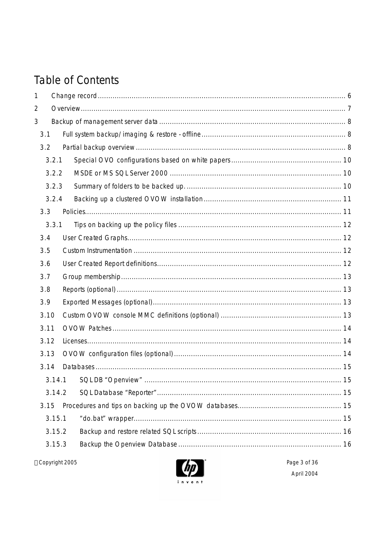# **Table of Contents**

| $\mathbf{1}$   |        |                                |  |
|----------------|--------|--------------------------------|--|
| $\overline{2}$ |        |                                |  |
| 3              |        |                                |  |
| 3.1            |        |                                |  |
| 3.2            |        |                                |  |
|                | 3.2.1  |                                |  |
|                | 3.2.2  |                                |  |
|                | 3.2.3  |                                |  |
|                | 3.2.4  |                                |  |
| 3.3            |        |                                |  |
|                | 3.3.1  |                                |  |
| 3.4            |        |                                |  |
| 3.5            |        |                                |  |
| 3.6            |        |                                |  |
| 3.7            |        |                                |  |
| 3.8            |        |                                |  |
| 3.9            |        |                                |  |
| 3.10           |        |                                |  |
| 3.11           |        |                                |  |
| 3.12           |        |                                |  |
| 3.13           |        |                                |  |
| 3.14           |        |                                |  |
|                |        | 3.14.1 SQL DB "Openview"<br>15 |  |
|                | 3.14.2 |                                |  |
| 3.15           |        |                                |  |
|                | 3.15.1 |                                |  |
|                | 3.15.2 |                                |  |
|                | 3.15.3 |                                |  |
|                |        |                                |  |

@Copyright 2005

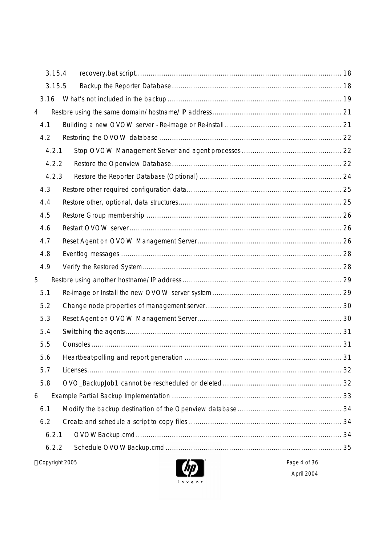| 3.15.4 |                 |  |  |
|--------|-----------------|--|--|
| 3.15.5 |                 |  |  |
| 3.16   |                 |  |  |
| 4      |                 |  |  |
| 4.1    |                 |  |  |
| 4.2    |                 |  |  |
| 4.2.1  |                 |  |  |
| 4.2.2  |                 |  |  |
| 4.2.3  |                 |  |  |
| 4.3    |                 |  |  |
| 4.4    |                 |  |  |
| 4.5    |                 |  |  |
| 4.6    |                 |  |  |
| 4.7    |                 |  |  |
| 4.8    |                 |  |  |
| 4.9    |                 |  |  |
| 5      |                 |  |  |
| 5.1    |                 |  |  |
| 5.2    |                 |  |  |
| 5.3    |                 |  |  |
| 5.4    |                 |  |  |
| 5.5    |                 |  |  |
| 5.6    |                 |  |  |
| 5.7    |                 |  |  |
| 5.8    |                 |  |  |
| 6      |                 |  |  |
| 6.1    |                 |  |  |
| 6.2    |                 |  |  |
| 6.2.1  |                 |  |  |
| 6.2.2  |                 |  |  |
|        | @Copyright 2005 |  |  |

 $\left( \frac{dp}{dp} \right)$ invent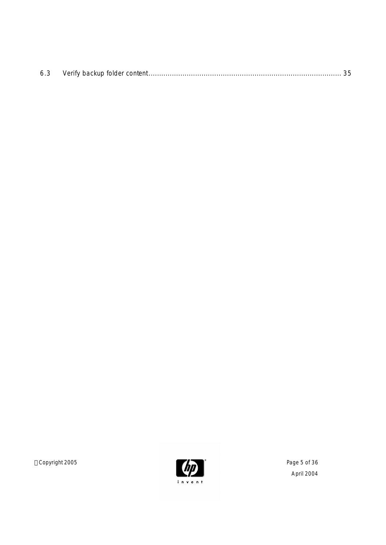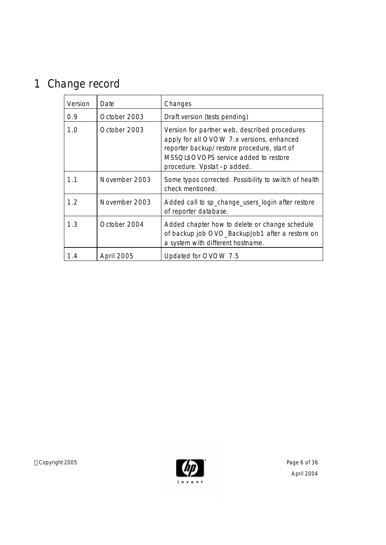# 1 Change record

| Version | Date          | Changes                                                                                                                                                                                                          |  |
|---------|---------------|------------------------------------------------------------------------------------------------------------------------------------------------------------------------------------------------------------------|--|
| 0.9     | October 2003  | Draft version (tests pending)                                                                                                                                                                                    |  |
| 1.0     | October 2003  | Version for partner web, described procedures<br>apply for all OVOW 7.x versions, enhanced<br>reporter backup/restore procedure, start of<br>MSSQL\$OVOPS service added to restore<br>procedure. Vpstat-p added. |  |
| 1.1     | November 2003 | Some typos corrected. Possibility to switch of health<br>check mentioned.                                                                                                                                        |  |
| 1.2     | November 2003 | Added call to sp_change_users_login after restore<br>of reporter database.                                                                                                                                       |  |
| 1.3     | October 2004  | Added chapter how to delete or change schedule<br>of backup job OVO_BackupJob1 after a restore on<br>a system with different hostname.                                                                           |  |
| 1.4     | April 2005    | Updated for OVOW 7.5                                                                                                                                                                                             |  |

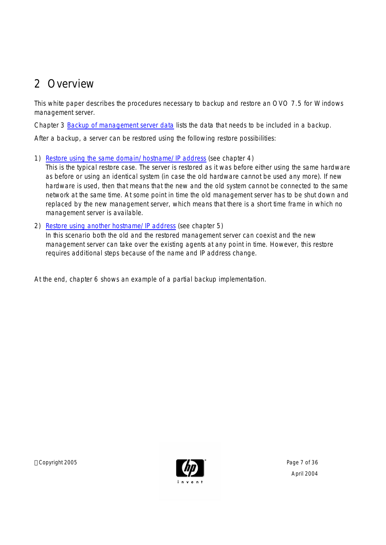# 2 Overview

This white paper describes the procedures necessary to backup and restore an OVO 7.5 for Windows management server.

Chapter 3 Backup of management server data lists the data that needs to be included in a backup.

After a backup, a server can be restored using the following restore possibilities:

1) Restore using the same domain/hostname/IP address (see chapter 4)

This is the typical restore case. The server is restored as it was before either using the same hardware as before or using an identical system (in case the old hardware cannot be used any more). If new hardware is used, then that means that the new and the old system cannot be connected to the same network at the same time. At some point in time the old management server has to be shut down and replaced by the new management server, which means that there is a short time frame in which no management server is available.

2) Restore using another hostname/IP address (see chapter 5) In this scenario both the old and the restored management server can coexist and the new management server can take over the existing agents at any point in time. However, this restore requires additional steps because of the name and IP address change.

At the end, chapter 6 shows an example of a partial backup implementation.

Copyright 2005 **Page 7 of 36**  $\sim$  Page 7 of 36

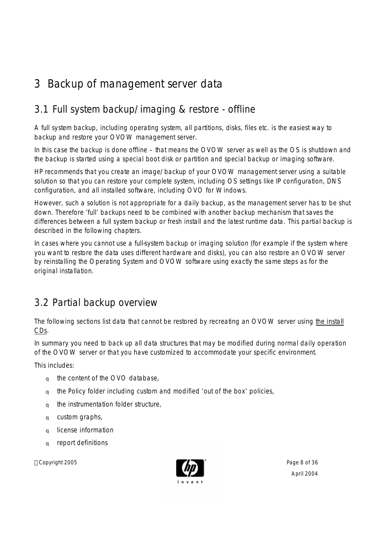# 3 Backup of management server data

# 3.1 Full system backup/imaging & restore - offline

A full system backup, including operating system, all partitions, disks, files etc. is the easiest way to backup and restore your OVOW management server.

In this case the backup is done offline – that means the OVOW server as well as the OS is shutdown and the backup is started using a special boot disk or partition and special backup or imaging software.

HP recommends that you create an image/backup of your OVOW management server using a suitable solution so that you can restore your complete system, including OS settings like IP configuration, DNS configuration, and all installed software, including OVO for Windows.

However, such a solution is not appropriate for a daily backup, as the management server has to be shut down. Therefore 'full' backups need to be combined with another backup mechanism that saves the differences between a full system backup or fresh install and the latest runtime data. This partial backup is described in the following chapters.

In cases where you cannot use a full-system backup or imaging solution (for example if the system where you want to restore the data uses different hardware and disks), you can also restore an OVOW server by reinstalling the Operating System and OVOW software using exactly the same steps as for the original installation.

## 3.2 Partial backup overview

The following sections list data that cannot be restored by recreating an OVOW server using the install CDs.

In summary you need to back up all data structures that may be modified during normal daily operation of the OVOW server or that you have customized to accommodate your specific environment.

This includes:

- q the content of the OVO database,
- q the Policy folder including custom and modified 'out of the box' policies,
- q the instrumentation folder structure,
- q custom graphs,
- q license information
- q report definitions

Copyright 2005 **Page 8 of 36** Page 8 of 36

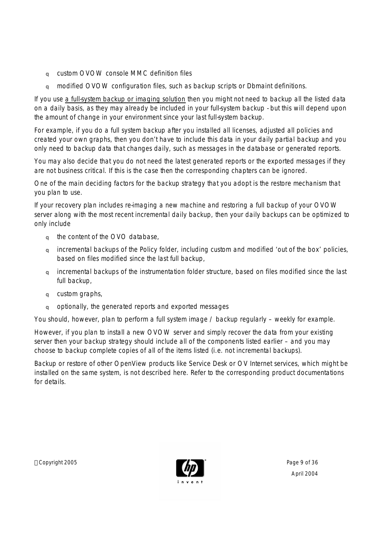- q custom OVOW console MMC definition files
- q modified OVOW configuration files, such as backup scripts or Dbmaint definitions.

If you use a full-system backup or imaging solution then you might not need to backup all the listed data on a daily basis, as they may already be included in your full-system backup - but this will depend upon the amount of change in your environment since your last full-system backup.

For example, if you do a full system backup after you installed all licenses, adjusted all policies and created your own graphs, then you don't have to include this data in your daily partial backup and you only need to backup data that changes daily, such as messages in the database or generated reports.

You may also decide that you do not need the latest generated reports or the exported messages if they are not business critical. If this is the case then the corresponding chapters can be ignored.

One of the main deciding factors for the backup strategy that you adopt is the restore mechanism that you plan to use.

If your recovery plan includes re-imaging a new machine and restoring a full backup of your OVOW server along with the most recent incremental daily backup, then your daily backups can be optimized to only include

- q the content of the OVO database,
- q incremental backups of the Policy folder, including custom and modified 'out of the box' policies, based on files modified since the last full backup,
- q incremental backups of the instrumentation folder structure, based on files modified since the last full backup,
- q custom graphs,
- q optionally, the generated reports and exported messages

You should, however, plan to perform a full system image / backup regularly – weekly for example.

However, if you plan to install a new OVOW server and simply recover the data from your existing server then your backup strategy should include all of the components listed earlier – and you may choose to backup complete copies of all of the items listed (i.e. not incremental backups).

Backup or restore of other OpenView products like Service Desk or OV Internet services, which might be installed on the same system, is not described here. Refer to the corresponding product documentations for details.

Copyright 2005 **Page 9 of 36** Page 9 of 36

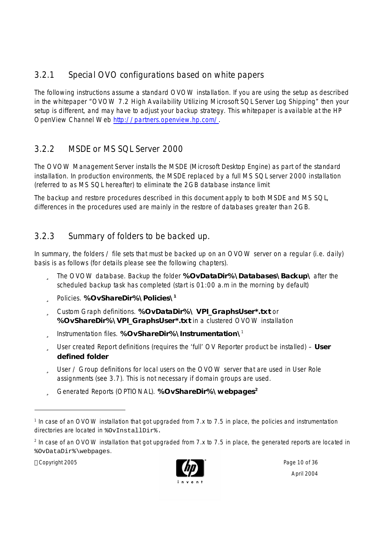## 3.2.1 Special OVO configurations based on white papers

The following instructions assume a standard OVOW installation. If you are using the setup as described in the whitepaper "OVOW 7.2 High Availability Utilizing Microsoft SQL Server Log Shipping" then your setup is different, and may have to adjust your backup strategy. This whitepaper is available at the HP OpenView Channel Web http://partners.openview.hp.com/.

## 3.2.2 MSDE or MS SQL Server 2000

The OVOW Management Server installs the MSDE (Microsoft Desktop Engine) as part of the standard installation. In production environments, the MSDE replaced by a full MS SQL server 2000 installation (referred to as MS SQL hereafter) to eliminate the 2GB database instance limit

The backup and restore procedures described in this document apply to both MSDE and MS SQL, differences in the procedures used are mainly in the restore of databases greater than 2GB.

## 3.2.3 Summary of folders to be backed up.

In summary, the folders / file sets that must be backed up on an OVOW server on a regular (i.e. daily) basis is as follows (for details please see the following chapters).

- ü The OVOW database. Backup the folder **%OvDataDir%\Databases\Backup\** after the scheduled backup task has completed (start is 01:00 a.m in the morning by default)
- ü Policies. **%OvShareDir%\Policies\ 1**
- ü Custom Graph definitions. **%OvDataDir%\ VPI\_GraphsUser\*.txt** or **%OvShareDir%\VPI\_GraphsUser\*.txt** in a clustered OVOW installation
- ü Instrumentation files. **%OvShareDir%\Instrumentation\** 1
- ü User created Report definitions (requires the 'full' OV Reporter product be installed) **User defined folder**
- ü User / Group definitions for local users on the OVOW server that are used in User Role assignments (see 3.7). This is not necessary if domain groups are used.
- ü Generated Reports (OPTIONAL). **%OvShareDir%\webpages<sup>2</sup>**

 $2$  In case of an OVOW installation that got upgraded from 7.x to 7.5 in place, the generated reports are located in %OvDataDir%\webpages.

Copyright 2005 **Page 10 of 36** 



<sup>&</sup>lt;sup>1</sup> In case of an OVOW installation that got upgraded from 7.x to 7.5 in place, the policies and instrumentation directories are located in %OvInstallDir%.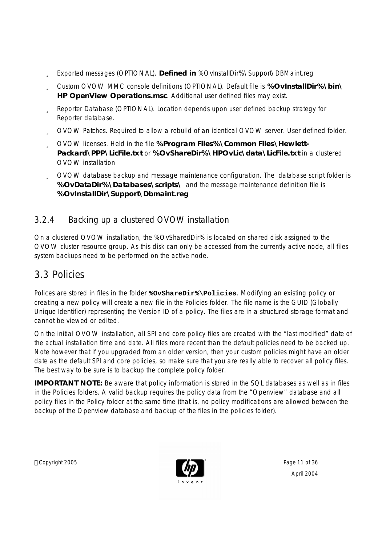- ü Exported messages (OPTIONAL). **Defined in** %OvInstallDir%\Support\DBMaint.reg
- ü Custom OVOW MMC console definitions (OPTIONAL). Default file is **%OvInstallDir%\bin\ HP OpenView Operations.msc**. Additional user defined files may exist.
- ü Reporter Database (OPTIONAL). Location depends upon user defined backup strategy for Reporter database.
- ü OVOW Patches. Required to allow a rebuild of an identical OVOW server. User defined folder.
- ü OVOW licenses. Held in the file **%Program Files%\Common Files\Hewlett-Packard\PPP\LicFile.txt** or **%OvShareDir%\HPOvLic\data\LicFile.txt** in a clustered OVOW installation
- ü OVOW database backup and message maintenance configuration. The database script folder is **%OvDataDir%\Databases\scripts\** and the message maintenance definition file is **%OvInstallDir\Support\Dbmaint.reg**

## 3.2.4 Backing up a clustered OVOW installation

On a clustered OVOW installation, the %OvSharedDir% is located on shared disk assigned to the OVOW cluster resource group. As this disk can only be accessed from the currently active node, all files system backups need to be performed on the active node.

## 3.3 Policies

Polices are stored in files in the folder **%OvShareDir%\Policies**. Modifying an existing policy or creating a new policy will create a new file in the Policies folder. The file name is the GUID (Globally Unique Identifier) representing the Version ID of a policy. The files are in a structured storage format and cannot be viewed or edited.

On the initial OVOW installation, all SPI and core policy files are created with the "last modified" date of the actual installation time and date. All files more recent than the default policies need to be backed up. Note however that if you upgraded from an older version, then your custom policies might have an older date as the default SPI and core policies, so make sure that you are really able to recover all policy files. The best way to be sure is to backup the complete policy folder.

**IMPORTANT NOTE:** Be aware that policy information is stored in the SQL databases as well as in files in the Policies folders. A valid backup requires the policy data from the "Openview" database and all policy files in the Policy folder at the same time (that is, no policy modifications are allowed between the backup of the Openview database and backup of the files in the policies folder).

Copyright 2005 **Page 11 of 36** 

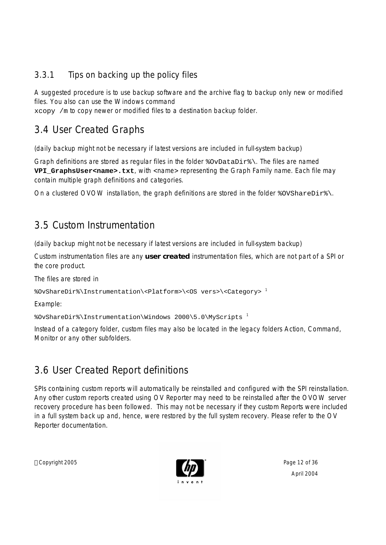## 3.3.1 Tips on backing up the policy files

A suggested procedure is to use backup software and the archive flag to backup only new or modified files. You also can use the Windows command

xcopy /m to copy newer or modified files to a destination backup folder.

## 3.4 User Created Graphs

(daily backup might not be necessary if latest versions are included in full-system backup)

Graph definitions are stored as regular files in the folder %OvDataDir%\. The files are named **VPI\_GraphsUser<name>.txt**, with <name> representing the Graph Family name. Each file may contain multiple graph definitions and categories.

On a clustered OVOW installation, the graph definitions are stored in the folder  $\gamma$ ovShareDir $\gamma$ .

## 3.5 Custom Instrumentation

(daily backup might not be necessary if latest versions are included in full-system backup)

Custom instrumentation files are any **user created** instrumentation files, which are not part of a SPI or the core product.

The files are stored in

```
%OvShareDir%\Instrumentation\<Platform>\<OS vers>\<Category> 1
```
Example:

%OvShareDir%\Instrumentation\Windows 2000\5.0\MyScripts <sup>1</sup>

Instead of a category folder, custom files may also be located in the legacy folders Action, Command, Monitor or any other subfolders.

## 3.6 User Created Report definitions

SPIs containing custom reports will automatically be reinstalled and configured with the SPI reinstallation. Any other custom reports created using OV Reporter may need to be reinstalled after the OVOW server recovery procedure has been followed. This may not be necessary if they custom Reports were included in a full system back up and, hence, were restored by the full system recovery. Please refer to the OV Reporter documentation.

Copyright 2005 **Page 12 of 36** Page 12 of 36

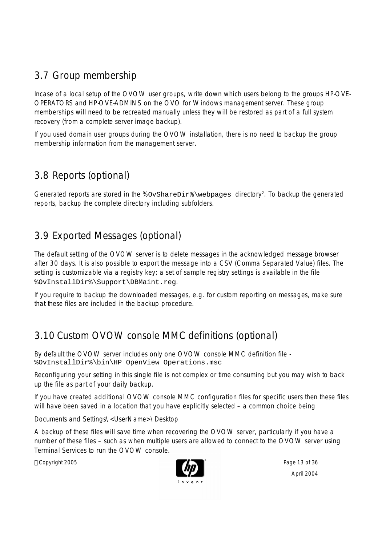# 3.7 Group membership

Incase of a local setup of the OVOW user groups, write down which users belong to the groups HP-OVE-OPERATORS and HP-OVE-ADMINS on the OVO for Windows management server. These group memberships will need to be recreated manually unless they will be restored as part of a full system recovery (from a complete server image backup).

If you used domain user groups during the OVOW installation, there is no need to backup the group membership information from the management server.

# 3.8 Reports (optional)

Generated reports are stored in the %OvShareDir<sup>®</sup> \webpages directory<sup>2</sup>. To backup the generated reports, backup the complete directory including subfolders.

# 3.9 Exported Messages (optional)

The default setting of the OVOW server is to delete messages in the acknowledged message browser after 30 days. It is also possible to export the message into a CSV (Comma Separated Value) files. The setting is customizable via a registry key; a set of sample registry settings is available in the file %OvInstallDir%\Support\DBMaint.reg.

If you require to backup the downloaded messages, e.g. for custom reporting on messages, make sure that these files are included in the backup procedure.

# 3.10 Custom OVOW console MMC definitions (optional)

By default the OVOW server includes only one OVOW console MMC definition file - %OvInstallDir%\bin\HP OpenView Operations.msc

Reconfiguring your setting in this single file is not complex or time consuming but you may wish to back up the file as part of your daily backup.

If you have created additional OVOW console MMC configuration files for specific users then these files will have been saved in a location that you have explicitly selected – a common choice being

Documents and Settings\<UserName>\Desktop

A backup of these files will save time when recovering the OVOW server, particularly if you have a number of these files – such as when multiple users are allowed to connect to the OVOW server using Terminal Services to run the OVOW console.

Copyright 2005 **Page 13 of 36** Page 13 of 36

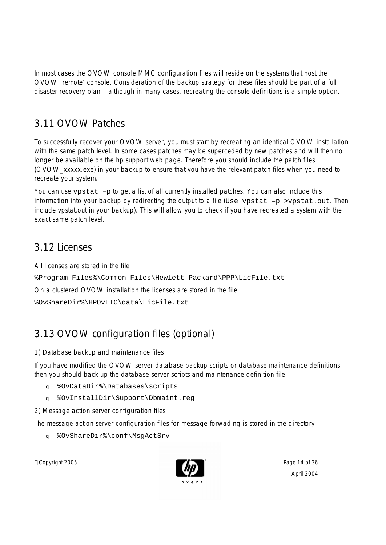In most cases the OVOW console MMC configuration files will reside on the systems that host the OVOW 'remote' console. Consideration of the backup strategy for these files should be part of a full disaster recovery plan – although in many cases, recreating the console definitions is a simple option.

## 3.11 OVOW Patches

To successfully recover your OVOW server, you must start by recreating an identical OVOW installation with the same patch level. In some cases patches may be superceded by new patches and will then no longer be available on the hp support web page. Therefore you should include the patch files (OVOW\_xxxxx.exe) in your backup to ensure that you have the relevant patch files when you need to recreate your system.

You can use vpstat -p to get a list of all currently installed patches. You can also include this information into your backup by redirecting the output to a file (Use  $v$ pstat –p >vpstat.out. Then include vpstat.out in your backup). This will allow you to check if you have recreated a system with the exact same patch level.

## 3.12 Licenses

All licenses are stored in the file

%Program Files%\Common Files\Hewlett-Packard\PPP\LicFile.txt

On a clustered OVOW installation the licenses are stored in the file

%OvShareDir%\HPOvLIC\data\LicFile.txt

# 3.13 OVOW configuration files (optional)

#### 1) Database backup and maintenance files

If you have modified the OVOW server database backup scripts or database maintenance definitions then you should back up the database server scripts and maintenance definition file

- q %OvDataDir%\Databases\scripts
- q %OvInstallDir\Support\Dbmaint.reg
- 2) Message action server configuration files

The message action server configuration files for message forwading is stored in the directory

q %OvShareDir%\conf\MsgActSrv

Copyright 2005 **Page 14 of 36** 

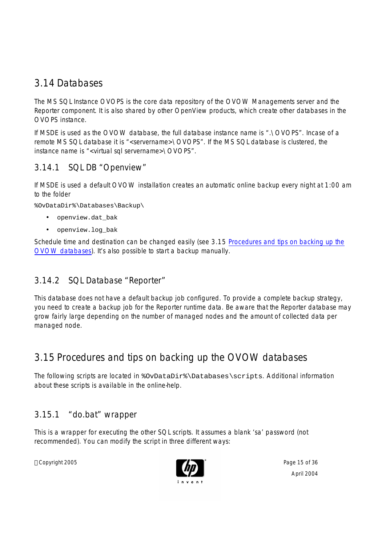## 3.14 Databases

The MS SQL Instance OVOPS is the core data repository of the OVOW Managements server and the Reporter component. It is also shared by other OpenView products, which create other databases in the OVOPS instance.

If MSDE is used as the OVOW database, the full database instance name is ".\OVOPS". Incase of a remote MS SQL database it is "<servername>\OVOPS". If the MS SQL database is clustered, the instance name is "<virtual sql servername>\OVOPS".

### 3.14.1 SQL DB "Openview"

If MSDE is used a default OVOW installation creates an automatic online backup every night at 1:00 am to the folder

%OvDataDir%\Databases\Backup\

- openview.dat\_bak
- openview.log\_bak

Schedule time and destination can be changed easily (see 3.15 Procedures and tips on backing up the OVOW databases). It's also possible to start a backup manually.

### 3.14.2 SQL Database "Reporter"

This database does not have a default backup job configured. To provide a complete backup strategy, you need to create a backup job for the Reporter runtime data. Be aware that the Reporter database may grow fairly large depending on the number of managed nodes and the amount of collected data per managed node.

## 3.15 Procedures and tips on backing up the OVOW databases

The following scripts are located in %OvDataDir%\Databases\scripts. Additional information about these scripts is available in the online-help.

### 3.15.1 "do.bat" wrapper

This is a wrapper for executing the other SQL scripts. It assumes a blank 'sa' password (not recommended). You can modify the script in three different ways:

Copyright 2005 **Page 15 of 36** Page 15 of 36

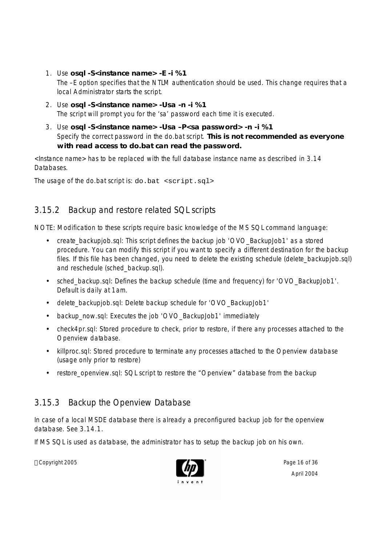- 1. Use **osql -S<instance name> -E -i %1** The –E option specifies that the NTLM authentication should be used. This change requires that a local Administrator starts the script.
- 2. Use **osql -S<instance name> -Usa -n -i %1** The script will prompt you for the 'sa' password each time it is executed.
- 3. Use **osql -S<instance name> -Usa –P<sa password> -n -i %1** Specify the correct password in the do.bat script. **This is not recommended as everyone with read access to do.bat can read the password.**

<Instance name> has to be replaced with the full database instance name as described in 3.14 Databases.

The usage of the do.bat script is: do.bat <script.sql>

## 3.15.2 Backup and restore related SQL scripts

NOTE: Modification to these scripts require basic knowledge of the MS SQL command language:

- create\_backupjob.sql: This script defines the backup job 'OVO\_BackupJob1' as a stored procedure. You can modify this script if you want to specify a different destination for the backup files. If this file has been changed, you need to delete the existing schedule (delete\_backupjob.sql) and reschedule (sched\_backup.sql).
- sched\_backup.sql: Defines the backup schedule (time and frequency) for 'OVO\_BackupJob1'. Default is daily at 1am.
- delete\_backupjob.sql: Delete backup schedule for 'OVO\_BackupJob1'
- backup\_now.sql: Executes the job 'OVO\_BackupJob1' immediately
- check4pr.sql: Stored procedure to check, prior to restore, if there any processes attached to the Openview database.
- killproc.sql: Stored procedure to terminate any processes attached to the Openview database (usage only prior to restore)
- restore\_openview.sql: SQL script to restore the "Openview" database from the backup

## 3.15.3 Backup the Openview Database

In case of a local MSDE database there is already a preconfigured backup job for the openview database. See 3.14.1.

If MS SQL is used as database, the administrator has to setup the backup job on his own.

Copyright 2005 **Page 16 of 36** Page 16 of 36

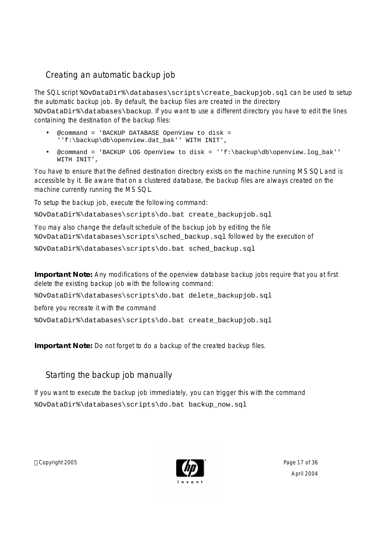## *Creating an automatic backup job*

The SQL script %OvDataDir%\databases\scripts\create\_backupjob.sql can be used to setup the automatic backup job. By default, the backup files are created in the directory %OvDataDir%\databases\backup. If you want to use a different directory you have to edit the lines containing the destination of the backup files:

- @command = 'BACKUP DATABASE OpenView to disk = ''f:\backup\db\openview.dat\_bak'' WITH INIT',
- @command = 'BACKUP LOG OpenView to disk = ''f:\backup\db\openview.log\_bak'' WITH INIT',

You have to ensure that the defined destination directory exists on the machine running MS SQL and is accessible by it. Be aware that on a clustered database, the backup files are always created on the machine currently running the MS SQL.

To setup the backup job, execute the following command:

%OvDataDir%\databases\scripts\do.bat create\_backupjob.sql

You may also change the default schedule of the backup job by editing the file %OvDataDir%\databases\scripts\sched\_backup.sql followed by the execution of %OvDataDir%\databases\scripts\do.bat sched\_backup.sql

**Important Note:** Any modifications of the openview database backup jobs require that you at first delete the existing backup job with the following command:

%OvDataDir%\databases\scripts\do.bat delete\_backupjob.sql

before you recreate it with the command

%OvDataDir%\databases\scripts\do.bat create\_backupjob.sql

**Important Note:** Do not forget to do a backup of the created backup files.

## *Starting the backup job manually*

If you want to execute the backup job immediately, you can trigger this with the command %OvDataDir%\databases\scripts\do.bat backup\_now.sql

Copyright 2005 **Page 17 of 36** 

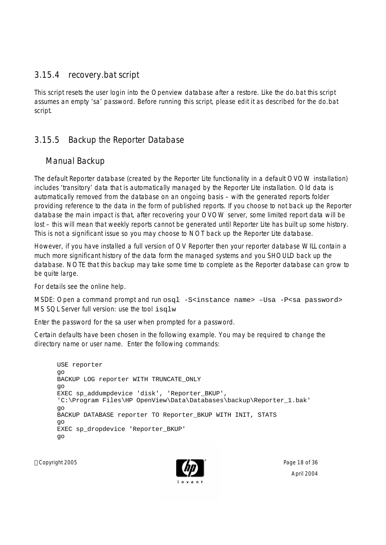### 3.15.4 recovery.bat script

This script resets the user login into the Openview database after a restore. Like the do.bat this script assumes an empty 'sa' password. Before running this script, please edit it as described for the do.bat script.

### 3.15.5 Backup the Reporter Database

### *Manual Backup*

The default Reporter database (created by the Reporter Lite functionality in a default OVOW installation) includes 'transitory' data that is automatically managed by the Reporter Lite installation. Old data is automatically removed from the database on an ongoing basis – with the generated reports folder providing reference to the data in the form of published reports. If you choose to not back up the Reporter database the main impact is that, after recovering your OVOW server, some limited report data will be lost – this will mean that weekly reports cannot be generated until Reporter Lite has built up some history. This is not a significant issue so you may choose to NOT back up the Reporter Lite database.

However, if you have installed a full version of OV Reporter then your reporter database WILL contain a much more significant history of the data form the managed systems and you SHOULD back up the database. NOTE that this backup may take some time to complete as the Reporter database can grow to be quite large.

For details see the online help.

MSDE: Open a command prompt and run osql -S<instance name> -Usa -P<sa password> MS SQL Server full version: use the tool isqlw

Enter the password for the sa user when prompted for a password.

Certain defaults have been chosen in the following example. You may be required to change the directory name or user name. Enter the following commands:

```
USE reporter
go
BACKUP LOG reporter WITH TRUNCATE_ONLY
go
EXEC sp_addumpdevice 'disk', 'Reporter_BKUP',
'C:\Program Files\HP OpenView\Data\Databases\backup\Reporter_1.bak'
go
BACKUP DATABASE reporter TO Reporter_BKUP WITH INIT, STATS
go
EXEC sp_dropdevice 'Reporter_BKUP'
go
```
Copyright 2005 **Page 18 of 36** Page 18 of 36

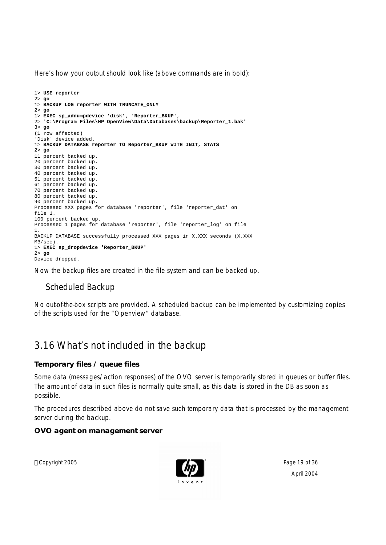Here's how your output should look like (above commands are in bold):

```
1> USE reporter
2> go
1> BACKUP LOG reporter WITH TRUNCATE_ONLY
2> go
1> EXEC sp_addumpdevice 'disk', 'Reporter_BKUP',
2> 'C:\Program Files\HP OpenView\Data\Databases\backup\Reporter_1.bak'
3> go
(1 row affected)
'Disk' device added.
1> BACKUP DATABASE reporter TO Reporter_BKUP WITH INIT, STATS
2> go
11 percent backed up.
20 percent backed up.
30 percent backed up.
40 percent backed up.
51 percent backed up.
61 percent backed up.
70 percent backed up.
80 percent backed up.
90 percent backed up.
Processed XXX pages for database 'reporter', file 'reporter_dat' on 
file 1.
100 percent backed up.
Processed 1 pages for database 'reporter', file 'reporter_log' on file 
1.
BACKUP DATABASE successfully processed XXX pages in X.XXX seconds (X.XXX
MB/sec).
1> EXEC sp_dropdevice 'Reporter_BKUP'
2> go
Device dropped.
```
Now the backup files are created in the file system and can be backed up.

## *Scheduled Backup*

No out-of-the-box scripts are provided. A scheduled backup can be implemented by customizing copies of the scripts used for the "Openview" database.

## 3.16 What's not included in the backup

**Temporary files / queue files**

Some data (messages/action responses) of the OVO server is temporarily stored in queues or buffer files. The amount of data in such files is normally quite small, as this data is stored in the DB as soon as possible.

The procedures described above do not save such temporary data that is processed by the management server during the backup.

**OVO agent on management server**

Copyright 2005 Page 19 of 36

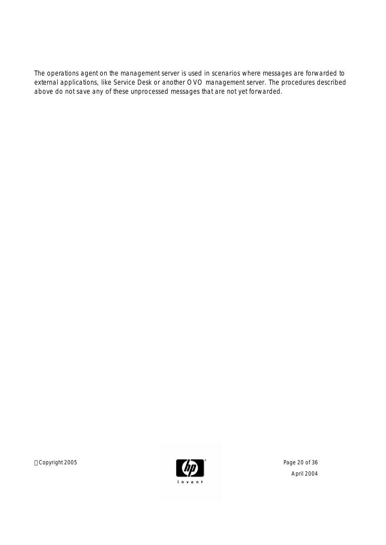The operations agent on the management server is used in scenarios where messages are forwarded to external applications, like Service Desk or another OVO management server. The procedures described above do not save any of these unprocessed messages that are not yet forwarded.

Copyright 2005 **Page 20 of 36** 

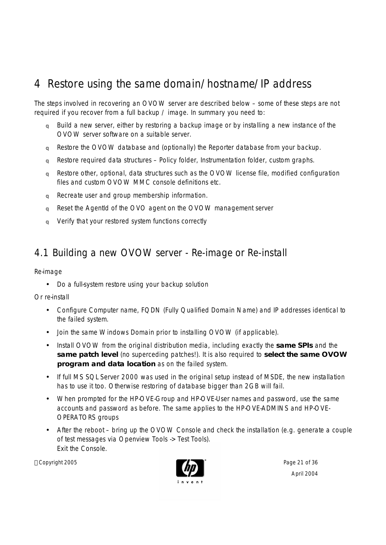# 4 Restore using the same domain/hostname/IP address

The steps involved in recovering an OVOW server are described below – some of these steps are not required if you recover from a full backup / image. In summary you need to:

- q Build a new server, either by restoring a backup image or by installing a new instance of the OVOW server software on a suitable server.
- q Restore the OVOW database and (optionally) the Reporter database from your backup.
- q Restore required data structures Policy folder, Instrumentation folder, custom graphs.
- q Restore other, optional, data structures such as the OVOW license file, modified configuration files and custom OVOW MMC console definitions etc.
- q Recreate user and group membership information.
- q Reset the AgentId of the OVO agent on the OVOW management server
- q Verify that your restored system functions correctly

## 4.1 Building a new OVOW server - Re-image or Re-install

Re-image

• Do a full-system restore using your backup solution

Or re-install

- Configure Computer name, FQDN (Fully Qualified Domain Name) and IP addresses identical to the failed system.
- Join the same Windows Domain prior to installing OVOW (if applicable).
- Install OVOW from the original distribution media, including exactly the **same SPIs** and the **same patch level** (no superceding patches!). It is also required to **select the same OVOW program and data location** as on the failed system.
- If full MS SQL Server 2000 was used in the original setup instead of MSDE, the new installation has to use it too. Otherwise restoring of database bigger than 2GB will fail.
- When prompted for the HP-OVE-Group and HP-OVE-User names and password, use the same accounts and password as before. The same applies to the HP-OVE-ADMINS and HP-OVE-OPERATORS groups
- After the reboot bring up the OVOW Console and check the installation (e.g. generate a couple of test messages via Openview Tools -> Test Tools). Exit the Console.

Copyright 2005 **Page 21 of 36** Page 21 of 36

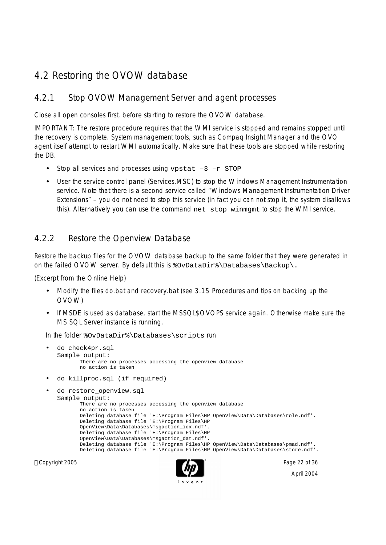## 4.2 Restoring the OVOW database

### 4.2.1 Stop OVOW Management Server and agent processes

Close all open consoles first, before starting to restore the OVOW database.

IMPORTANT: The restore procedure requires that the WMI service is stopped and remains stopped until the recovery is complete. System management tools, such as Compaq Insight Manager and the OVO agent itself attempt to restart WMI automatically. Make sure that these tools are stopped while restoring the DB.

- Stop all services and processes using vpstat  $-3$  -r STOP
- User the service control panel (Services.MSC) to stop the Windows Management Instrumentation service. Note that there is a second service called "Windows Management Instrumentation Driver Extensions" – you do not need to stop this service (in fact you can not stop it, the system disallows this). Alternatively you can use the command net stop winmgmt to stop the WMI service.

### 4.2.2 Restore the Openview Database

Restore the backup files for the OVOW database backup to the same folder that they were generated in on the failed OVOW server. By default this is %OvDataDir%\Databases\Backup\.

(Excerpt from the Online Help)

- Modify the files do.bat and recovery.bat (see 3.15 Procedures and tips on backing up the OVOW)
- If MSDE is used as database, start the MSSQL\$OVOPS service again. Otherwise make sure the MS SQL Server instance is running.

In the folder %OvDataDir%\Databases\scripts run

```
Copyright 2005 Page 22 of 36
      • do check4pr.sql 
      Sample output: 
             There are no processes accessing the openview database
             no action is taken
     • do killproc.sql (if required)
     do restore openview.sql
      Sample output: 
             There are no processes accessing the openview database
             no action is taken
             Deleting database file 'E:\Program Files\HP OpenView\Data\Databases\role.ndf'.
             Deleting database file 'E:\Program Files\HP
             OpenView\Data\Databases\msgaction_idx.ndf'.
             Deleting database file 'E:\Program Files\HP
             OpenView\Data\Databases\msgaction_dat.ndf'.
             Deleting database file 'E:\Program Files\HP OpenView\Data\Databases\pmad.ndf'.
             Deleting database file 'E:\Program Files\HP OpenView\Data\Databases\store.ndf'.
```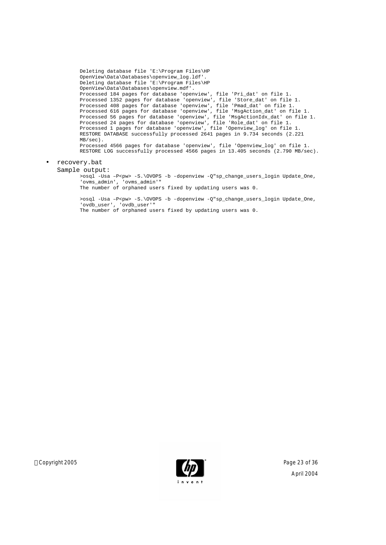```
Deleting database file 'E:\Program Files\HP
OpenView\Data\Databases\openview_log.ldf'.
Deleting database file 'E:\Program Files\HP
OpenView\Data\Databases\openview.mdf'.
Processed 184 pages for database 'openview', file 'Pri_dat' on file 1.
Processed 1352 pages for database 'openview', file 'Store_dat' on file 1.
Processed 408 pages for database 'openview', file 'Pmad_dat' on file 1.
Processed 616 pages for database 'openview', file 'MsgAction_dat' on file 1.
Processed 56 pages for database 'openview', file 'MsgActionIdx_dat' on file 1.
Processed 24 pages for database 'openview', file 'Role_dat' on file 1.
Processed 1 pages for database 'openview', file 'Openview_log' on file 1.
RESTORE DATABASE successfully processed 2641 pages in 9.734 seconds (2.221
MB/sec).
Processed 4566 pages for database 'openview', file 'Openview_log' on file 1.
RESTORE LOG successfully processed 4566 pages in 13.405 seconds (2.790 MB/sec).
```
#### • recovery.bat

Sample output:

>osql -Usa –P<pw> -S.\OVOPS -b -dopenview -Q"sp\_change\_users\_login Update\_One, 'ovms\_admin', 'ovms\_admin'"

The number of orphaned users fixed by updating users was 0.

>osql -Usa -P<pw> -S.\OVOPS -b -dopenview -Q"sp\_change\_users\_login Update\_One, 'ovdb\_user', 'ovdb\_user'"

The number of orphaned users fixed by updating users was 0.

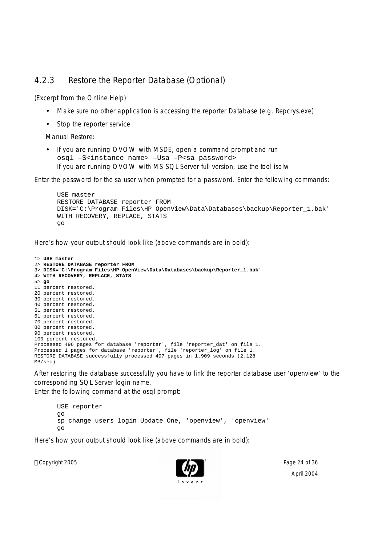### 4.2.3 Restore the Reporter Database (Optional)

(Excerpt from the Online Help)

- Make sure no other application is accessing the reporter Database (e.g. Repcrys.exe)
- Stop the reporter service

Manual Restore:

• If you are running OVOW with MSDE, open a command prompt and run osql –S<instance name> –Usa –P<sa password> If you are running OVOW with MS SQL Server full version, use the tool isqlw

Enter the password for the sa user when prompted for a password. Enter the following commands:

```
USE master
RESTORE DATABASE reporter FROM
DISK='C:\Program Files\HP OpenView\Data\Databases\backup\Reporter_1.bak'
WITH RECOVERY, REPLACE, STATS
go
```
Here's how your output should look like (above commands are in bold):

```
1> USE master
2> RESTORE DATABASE reporter FROM
3> DISK='C:\Program Files\HP OpenView\Data\Databases\backup\Reporter_1.bak'
4> WITH RECOVERY, REPLACE, STATS
5> go
11 percent restored.
20 percent restored.
30 percent restored.
40 percent restored.
51 percent restored.
61 percent restored.
70 percent restored.
80 percent restored.
90 percent restored.
100 percent restored.
Processed 496 pages for database 'reporter', file 'reporter_dat' on file 1.
Processed 1 pages for database 'reporter', file 'reporter_log' on file 1.
RESTORE DATABASE successfully processed 497 pages in 1.909 seconds (2.128
MB/sec).
```
After restoring the database successfully you have to link the reporter database user 'openview' to the corresponding SQL Server login name.

Enter the following command at the osql prompt:

```
USE reporter
go
sp_change_users_login Update_One, 'openview', 'openview'
go
```
Here's how your output should look like (above commands are in bold):

Copyright 2005 Page 24 of 36

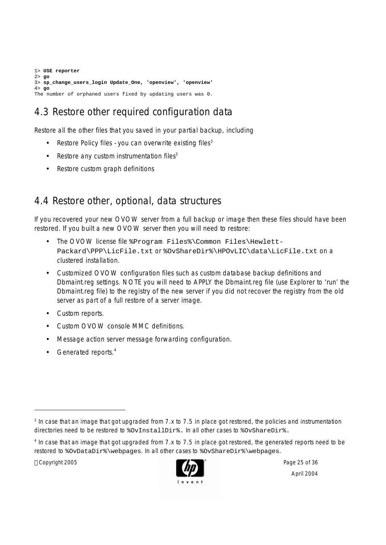1> **USE reporter** 2> **go** 3> **sp\_change\_users\_login Update\_One, 'openview', 'openview'** 4> **go** The number of orphaned users fixed by updating users was 0.

# 4.3 Restore other required configuration data

Restore all the other files that you saved in your partial backup, including

- Restore Policy files you can overwrite existing files<sup>3</sup>
- Restore any custom instrumentation files $3$
- Restore custom graph definitions

## 4.4 Restore other, optional, data structures

If you recovered your new OVOW server from a full backup or image then these files should have been restored. If you built a new OVOW server then you will need to restore:

- The OVOW license file %Program Files%\Common Files\Hewlett-Packard\PPP\LicFile.txt Or %OvShareDir%\HPOvLIC\data\LicFile.txt On a clustered installation.
- Customized OVOW configuration files such as custom database backup definitions and Dbmaint.reg settings. NOTE you will need to APPLY the Dbmaint.reg file (use Explorer to 'run' the Dbmaint.reg file) to the registry of the new server if you did not recover the registry from the old server as part of a full restore of a server image.
- Custom reports.
- Custom OVOW console MMC definitions.
- Message action server message forwarding configuration.
- Generated reports.<sup>4</sup>

Copyright 2005 **Page 25 of 36** Page 25 of 36



<sup>&</sup>lt;sup>3</sup> In case that an image that got upgraded from 7.x to 7.5 in place got restored, the policies and instrumentation directories need to be restored to  $\overline{\text{covInstallDir}}}$ . In all other cases to  $\overline{\text{covShareDir}}$ .

<sup>&</sup>lt;sup>4</sup> In case that an image that got upgraded from 7.x to 7.5 in place got restored, the generated reports need to be restored to %OvDataDir%\webpages. In all other cases to %OvShareDir%\webpages.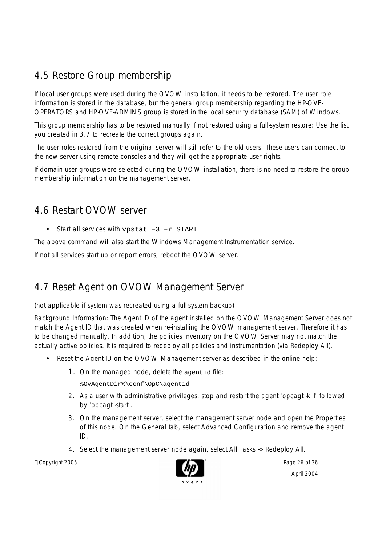## 4.5 Restore Group membership

If local user groups were used during the OVOW installation, it needs to be restored. The user role information is stored in the database, but the general group membership regarding the HP-OVE-OPERATORS and HP-OVE-ADMINS group is stored in the local security database (SAM) of Windows.

This group membership has to be restored manually if not restored using a full-system restore: Use the list you created in 3.7 to recreate the correct groups again.

The user roles restored from the original server will still refer to the old users. These users can connect to the new server using remote consoles and they will get the appropriate user rights.

If domain user groups were selected during the OVOW installation, there is no need to restore the group membership information on the management server.

## 4.6 Restart OVOW server

• Start all services with vpstat -3 -r START

The above command will also start the Windows Management Instrumentation service.

If not all services start up or report errors, reboot the OVOW server.

## 4.7 Reset Agent on OVOW Management Server

(not applicable if system was recreated using a full-system backup)

Background Information: The Agent ID of the agent installed on the OVOW Management Server does not match the Agent ID that was created when re-installing the OVOW management server. Therefore it has to be changed manually. In addition, the policies inventory on the OVOW Server may not match the actually active policies. It is required to redeploy all policies and instrumentation (via Redeploy All).

- Reset the Agent ID on the OVOW Management server as described in the online help:
	- 1. On the managed node, delete the agentid file:
		- %OvAgentDir%\conf\OpC\agentid
	- 2. As a user with administrative privileges, stop and restart the agent 'opcagt -kill' followed by 'opcagt start'.
	- 3. On the management server, select the management server node and open the Properties of this node. On the General tab, select Advanced Configuration and remove the agent ID.
	- 4. Select the management server node again, select All Tasks -> Redeploy All.

Copyright 2005 **Page 26 of 36** Page 26 of 36

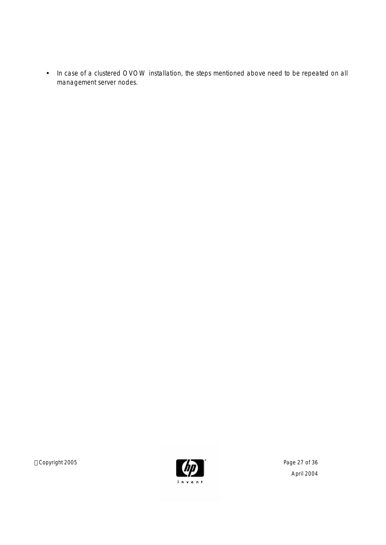• In case of a clustered OVOW installation, the steps mentioned above need to be repeated on all management server nodes.

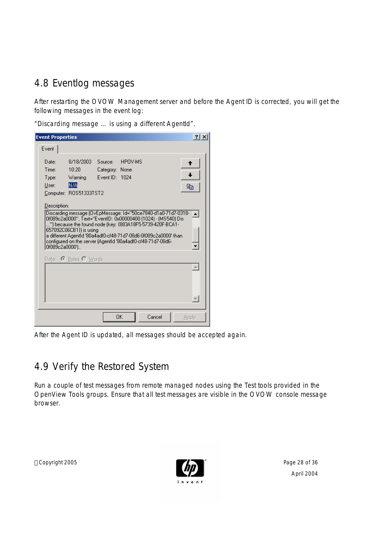## 4.8 Eventlog messages

After restarting the OVOW Management server and before the Agent ID is corrected, you will get the following messages in the event log:

"Discarding message … is using a different AgentId".

| <b>Event Properties</b>                                                                                                                                                                                                                                                                                                                                                                     |                                                                       |                                             |         |        | ?     |
|---------------------------------------------------------------------------------------------------------------------------------------------------------------------------------------------------------------------------------------------------------------------------------------------------------------------------------------------------------------------------------------------|-----------------------------------------------------------------------|---------------------------------------------|---------|--------|-------|
| Event:                                                                                                                                                                                                                                                                                                                                                                                      |                                                                       |                                             |         |        |       |
| Date:<br>Time:<br>Type:<br>User:                                                                                                                                                                                                                                                                                                                                                            | 8/18/2003<br>10:20<br><b>Warning</b><br>N7A<br>Computer: ROS51333TST2 | Source:<br>Category: None<br>Event ID: 1024 | HPOV-MS |        | eb    |
| Description:<br>Discarding message (OvEpMessage: Id="50ce7840-d1a0-71d7-0318--<br>0f089c2a0000", Text="EventID: 0x00000400 (1024) - (MS540) Dis<br>"] because the found node [key: {883A18F5-5739-420F-BCA1-<br>657092C06CB1}) is using<br>a different AgentId '80a4adf0-cf48-71d7-08d6-0f089c2a0000' than<br>configured on the server (AgentId '80a4adf0-cf48-71d7-08d6-<br>0f089c2a0000') |                                                                       |                                             |         |        |       |
|                                                                                                                                                                                                                                                                                                                                                                                             | Data: C Butes C Words                                                 |                                             |         |        |       |
|                                                                                                                                                                                                                                                                                                                                                                                             |                                                                       |                                             | 0K      | Cancel | Apply |

After the Agent ID is updated, all messages should be accepted again.

## 4.9 Verify the Restored System

Run a couple of test messages from remote managed nodes using the Test tools provided in the OpenView Tools groups. Ensure that all test messages are visible in the OVOW console message browser.

Copyright 2005 **Page 28 of 36** 

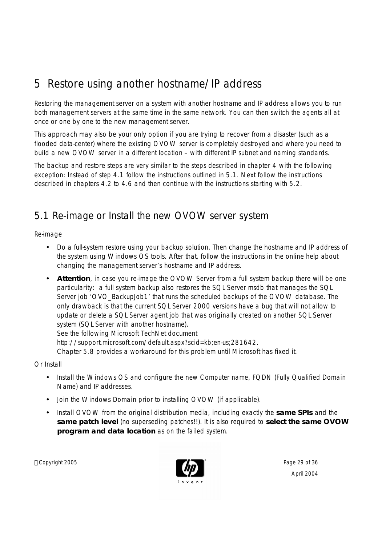# 5 Restore using another hostname/IP address

Restoring the management server on a system with another hostname and IP address allows you to run both management servers at the same time in the same network. You can then switch the agents all at once or one by one to the new management server.

This approach may also be your only option if you are trying to recover from a disaster (such as a flooded data-center) where the existing OVOW server is completely destroyed and where you need to build a new OVOW server in a different location – with different IP subnet and naming standards.

The backup and restore steps are very similar to the steps described in chapter 4 with the following exception: Instead of step 4.1 follow the instructions outlined in 5.1. Next follow the instructions described in chapters 4.2 to 4.6 and then continue with the instructions starting with 5.2.

## 5.1 Re-image or Install the new OVOW server system

Re-image

- Do a full-system restore using your backup solution. Then change the hostname and IP address of the system using Windows OS tools. After that, follow the instructions in the online help about changing the management server's hostname and IP address.
- **Attention**, in case you re-image the OVOW Server from a full system backup there will be one particularity: a full system backup also restores the SQL Server msdb that manages the SQL Server job 'OVO\_BackupJob1' that runs the scheduled backups of the OVOW database. The only drawback is that the current SQL Server 2000 versions have a bug that will not allow to update or delete a SQL Server agent job that was originally created on another SQL Server system (SQL Server with another hostname). See the following Microsoft TechNet document

http://support.microsoft.com/default.aspx?scid=kb;en-us;281642.

Chapter 5.8 provides a workaround for this problem until Microsoft has fixed it.

Or Install

- Install the Windows OS and configure the new Computer name, FQDN (Fully Qualified Domain Name) and IP addresses.
- Join the Windows Domain prior to installing OVOW (if applicable).
- Install OVOW from the original distribution media, including exactly the **same SPIs** and the **same patch level** (no superseding patches!!). It is also required to **select the same OVOW program and data location** as on the failed system.

Copyright 2005 **Page 29 of 36** Page 29 of 36

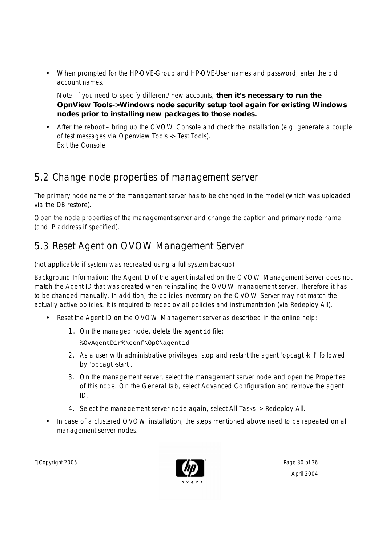• When prompted for the HP-OVE-Group and HP-OVE-User names and password, enter the old account names.

Note: If you need to specify different/new accounts, **then it's necessary to run the OpnView Tools->Windows node security setup tool again for existing Windows nodes prior to installing new packages to those nodes.**

• After the reboot – bring up the OVOW Console and check the installation (e.g. generate a couple of test messages via Openview Tools -> Test Tools). Exit the Console.

# 5.2 Change node properties of management server

The primary node name of the management server has to be changed in the model (which was uploaded via the DB restore).

Open the node properties of the management server and change the caption and primary node name (and IP address if specified).

# 5.3 Reset Agent on OVOW Management Server

(not applicable if system was recreated using a full-system backup)

Background Information: The Agent ID of the agent installed on the OVOW Management Server does not match the Agent ID that was created when re-installing the OVOW management server. Therefore it has to be changed manually. In addition, the policies inventory on the OVOW Server may not match the actually active policies. It is required to redeploy all policies and instrumentation (via Redeploy All).

- Reset the Agent ID on the OVOW Management server as described in the online help:
	- 1. On the managed node, delete the agentid file:

%OvAgentDir%\conf\OpC\agentid

- 2. As a user with administrative privileges, stop and restart the agent 'opcagt -kill' followed by 'opcagt -start'.
- 3. On the management server, select the management server node and open the Properties of this node. On the General tab, select Advanced Configuration and remove the agent ID.
- 4. Select the management server node again, select All Tasks -> Redeploy All.
- In case of a clustered OVOW installation, the steps mentioned above need to be repeated on all management server nodes.

Copyright 2005 **Page 30 of 36** Page 30 of 36

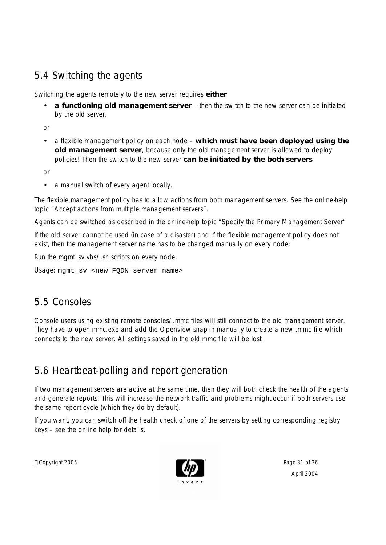# 5.4 Switching the agents

Switching the agents remotely to the new server requires **either** 

• **a functioning old management server** – then the switch to the new server can be initiated by the old server.

or

• a flexible management policy on each node – **which must have been deployed using the old management server**, because only the old management server is allowed to deploy policies! Then the switch to the new server **can be initiated by the both servers**

or

• a manual switch of every agent locally.

The flexible management policy has to allow actions from both management servers. See the online-help topic "Accept actions from multiple management servers".

Agents can be switched as described in the online-help topic "Specify the Primary Management Server"

If the old server cannot be used (in case of a disaster) and if the flexible management policy does not exist, then the management server name has to be changed manually on every node:

Run the mgmt\_sv.vbs/.sh scripts on every node.

Usage: mgmt sv <new FODN server name>

## 5.5 Consoles

Console users using existing remote consoles/.mmc files will still connect to the old management server. They have to open mmc.exe and add the Openview snap-in manually to create a new .mmc file which connects to the new server. All settings saved in the old mmc file will be lost.

## 5.6 Heartbeat-polling and report generation

If two management servers are active at the same time, then they will both check the health of the agents and generate reports. This will increase the network traffic and problems might occur if both servers use the same report cycle (which they do by default).

If you want, you can switch off the health check of one of the servers by setting corresponding registry keys – see the online help for details.

Copyright 2005 **Page 31 of 36** Page 31 of 36

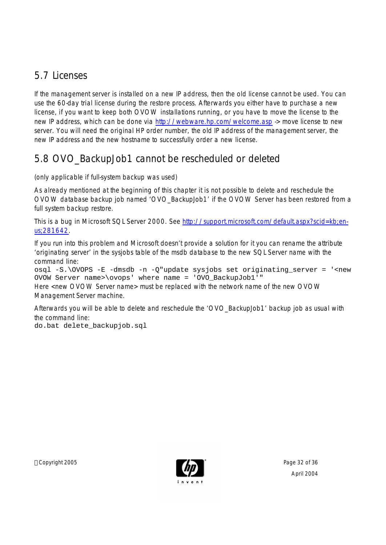## 5.7 Licenses

If the management server is installed on a new IP address, then the old license cannot be used. You can use the 60-day trial license during the restore process. Afterwards you either have to purchase a new license, if you want to keep both OVOW installations running, or you have to move the license to the new IP address, which can be done via http://webware.hp.com/welcome.asp -> move license to new server. You will need the original HP order number, the old IP address of the management server, the new IP address and the new hostname to successfully order a new license.

# 5.8 OVO\_BackupJob1 cannot be rescheduled or deleted

(only applicable if full-system backup was used)

As already mentioned at the beginning of this chapter it is not possible to delete and reschedule the OVOW database backup job named 'OVO\_BackupJob1' if the OVOW Server has been restored from a full system backup restore.

This is a bug in Microsoft SQL Server 2000. See http://support.microsoft.com/default.aspx?scid=kb;enus;281642.

If you run into this problem and Microsoft doesn't provide a solution for it you can rename the attribute 'originating server' in the sysjobs table of the msdb database to the new SQL Server name with the command line:

osql -S.\OVOPS -E -dmsdb -n -Q"update sysjobs set originating\_server = '<new OVOW Server name>\ovops' where name = 'OVO\_BackupJob1'"

Here <new OVOW Server name> must be replaced with the network name of the new OVOW Management Server machine.

Afterwards you will be able to delete and reschedule the 'OVO\_BackupJob1' backup job as usual with the command line:

do.bat delete\_backupjob.sql

Copyright 2005 **Page 32 of 36** Page 32 of 36

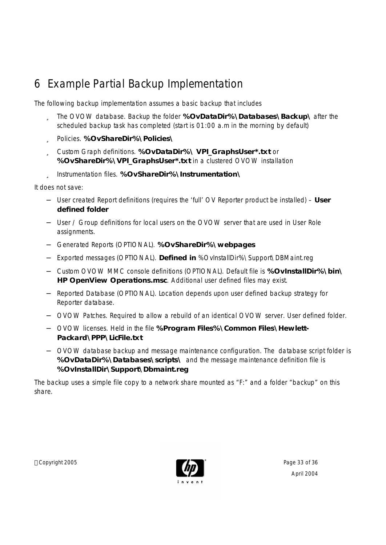# 6 Example Partial Backup Implementation

The following backup implementation assumes a basic backup that includes

- ü The OVOW database. Backup the folder **%OvDataDir%\Databases\Backup\** after the scheduled backup task has completed (start is 01:00 a.m in the morning by default)
- ü Policies. **%OvShareDir%\Policies\**
- ü Custom Graph definitions. **%OvDataDir%\ VPI\_GraphsUser\*.txt** or **%OvShareDir%\VPI\_GraphsUser\*.txt** in a clustered OVOW installation
- ü Instrumentation files. **%OvShareDir%\Instrumentation\**

It does not save:

- − User created Report definitions (requires the 'full' OV Reporter product be installed) **User defined folder**
- − User / Group definitions for local users on the OVOW server that are used in User Role assignments.
- − Generated Reports (OPTIONAL). **%OvShareDir%\webpages**
- − Exported messages (OPTIONAL). **Defined in** %OvInstallDir%\Support\DBMaint.reg
- − Custom OVOW MMC console definitions (OPTIONAL). Default file is **%OvInstallDir%\bin\ HP OpenView Operations.msc**. Additional user defined files may exist.
- Reported Database (OPTIONAL). Location depends upon user defined backup strategy for Reporter database.
- − OVOW Patches. Required to allow a rebuild of an identical OVOW server. User defined folder.
- − OVOW licenses. Held in the file **%Program Files%\Common Files\Hewlett-Packard\PPP\LicFile.txt**
- − OVOW database backup and message maintenance configuration. The database script folder is **%OvDataDir%\Databases\scripts\** and the message maintenance definition file is **%OvInstallDir\Support\Dbmaint.reg**

The backup uses a simple file copy to a network share mounted as "F:" and a folder "backup" on this share.

Copyright 2005 Page 33 of 36

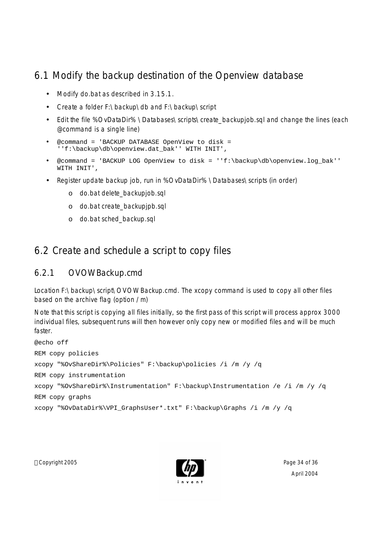## 6.1 Modify the backup destination of the Openview database

- Modify do.bat as described in 3.15.1.
- Create a folder F:\backup\db and F:\backup\script
- Edit the file %OvDataDir% \Databases\scripts\create\_backupjob.sql and change the lines (each @command is a single line)
- @command = 'BACKUP DATABASE OpenView to disk = ''f:\backup\db\openview.dat\_bak'' WITH INIT',
- @command = 'BACKUP LOG OpenView to disk = ''f:\backup\db\openview.log\_bak'' WITH INIT',
- Register update backup job, run in %OvDataDir% \Databases\scripts (in order)
	- o do.bat delete\_backupjob.sql
	- o do.bat create\_backupjpb.sql
	- o do.bat sched\_backup.sql

## 6.2 Create and schedule a script to copy files

### 6.2.1 OVOWBackup.cmd

Location F:\backup\script\OVOWBackup.cmd. The xcopy command is used to copy all other files based on the archive flag (option /m)

Note that this script is copying all files initially, so the first pass of this script will process approx 3000 individual files, subsequent runs will then however only copy new or modified files and will be much faster.

```
@echo off
REM copy policies 
xcopy "%OvShareDir%\Policies" F:\backup\policies /i /m /y /q
REM copy instrumentation 
xcopy "%OvShareDir%\Instrumentation" F:\backup\Instrumentation /e /i /m /y /q
REM copy graphs
xcopy "%OvDataDir%\VPI_GraphsUser*.txt" F:\backup\Graphs /i /m /y /q
```
Copyright 2005 Page 34 of 36

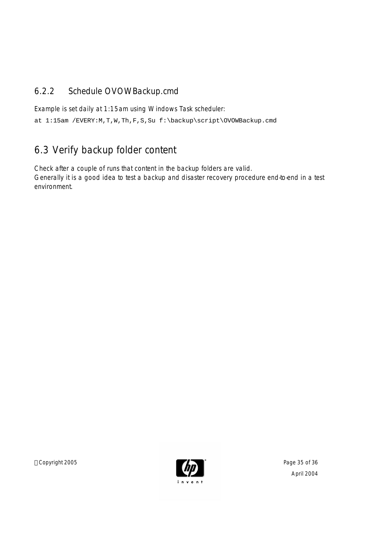## 6.2.2 Schedule OVOWBackup.cmd

Example is set daily at 1:15am using Windows Task scheduler:

at 1:15am /EVERY:M,T,W,Th,F,S,Su f:\backup\script\OVOWBackup.cmd

## 6.3 Verify backup folder content

Check after a couple of runs that content in the backup folders are valid. Generally it is a good idea to test a backup and disaster recovery procedure end-to-end in a test environment.

Copyright 2005 **Page 35 of 36**